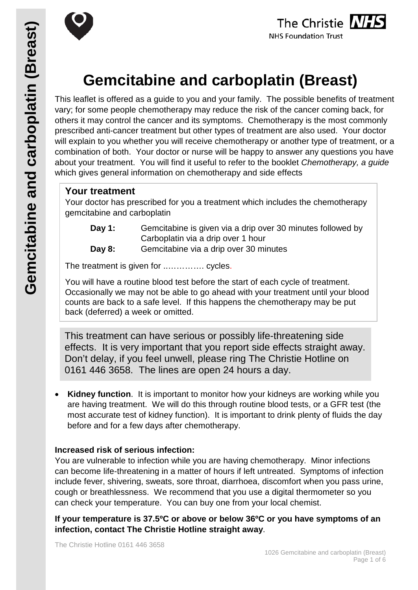



# **Gemcitabine and carboplatin (Breast)**

This leaflet is offered as a guide to you and your family. The possible benefits of treatment vary; for some people chemotherapy may reduce the risk of the cancer coming back, for others it may control the cancer and its symptoms. Chemotherapy is the most commonly prescribed anti-cancer treatment but other types of treatment are also used. Your doctor will explain to you whether you will receive chemotherapy or another type of treatment, or a combination of both. Your doctor or nurse will be happy to answer any questions you have about your treatment. You will find it useful to refer to the booklet *Chemotherapy, a guide* which gives general information on chemotherapy and side effects

### **Your treatment**

Your doctor has prescribed for you a treatment which includes the chemotherapy gemcitabine and carboplatin

- **Day 1:** Gemcitabine is given via a drip over 30 minutes followed by Carboplatin via a drip over 1 hour
- **Day 8:** Gemcitabine via a drip over 30 minutes

The treatment is given for ............... cycles.

You will have a routine blood test before the start of each cycle of treatment. Occasionally we may not be able to go ahead with your treatment until your blood counts are back to a safe level. If this happens the chemotherapy may be put back (deferred) a week or omitted.

This treatment can have serious or possibly life-threatening side effects. It is very important that you report side effects straight away. Don't delay, if you feel unwell, please ring The Christie Hotline on 0161 446 3658. The lines are open 24 hours a day.

**Kidney function.** It is important to monitor how your kidneys are working while you are having treatment. We will do this through routine blood tests, or a GFR test (the most accurate test of kidney function). It is important to drink plenty of fluids the day before and for a few days after chemotherapy.

#### **Increased risk of serious infection:**

You are vulnerable to infection while you are having chemotherapy. Minor infections can become life-threatening in a matter of hours if left untreated. Symptoms of infection include fever, shivering, sweats, sore throat, diarrhoea, discomfort when you pass urine, cough or breathlessness. We recommend that you use a digital thermometer so you can check your temperature. You can buy one from your local chemist.

**If your temperature is 37.5ºC or above or below 36ºC or you have symptoms of an infection, contact The Christie Hotline straight away**.

The Christie Hotline 0161 446 3658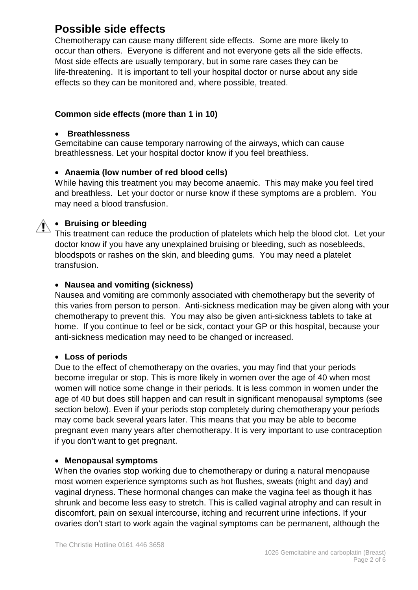# **Possible side effects**

Chemotherapy can cause many different side effects. Some are more likely to occur than others. Everyone is different and not everyone gets all the side effects. Most side effects are usually temporary, but in some rare cases they can be life-threatening. It is important to tell your hospital doctor or nurse about any side effects so they can be monitored and, where possible, treated.

#### **Common side effects (more than 1 in 10)**

#### • **Breathlessness**

Gemcitabine can cause temporary narrowing of the airways, which can cause breathlessness. Let your hospital doctor know if you feel breathless.

#### • **Anaemia (low number of red blood cells)**

While having this treatment you may become anaemic. This may make you feel tired and breathless. Let your doctor or nurse know if these symptoms are a problem. You may need a blood transfusion.

### • **Bruising or bleeding**

This treatment can reduce the production of platelets which help the blood clot. Let your doctor know if you have any unexplained bruising or bleeding, such as nosebleeds, bloodspots or rashes on the skin, and bleeding gums. You may need a platelet transfusion.

#### • **Nausea and vomiting (sickness)**

Nausea and vomiting are commonly associated with chemotherapy but the severity of this varies from person to person. Anti-sickness medication may be given along with your chemotherapy to prevent this. You may also be given anti-sickness tablets to take at home. If you continue to feel or be sick, contact your GP or this hospital, because your anti-sickness medication may need to be changed or increased.

#### • **Loss of periods**

Due to the effect of chemotherapy on the ovaries, you may find that your periods become irregular or stop. This is more likely in women over the age of 40 when most women will notice some change in their periods. It is less common in women under the age of 40 but does still happen and can result in significant menopausal symptoms (see section below). Even if your periods stop completely during chemotherapy your periods may come back several years later. This means that you may be able to become pregnant even many years after chemotherapy. It is very important to use contraception if you don't want to get pregnant.

#### • **Menopausal symptoms**

When the ovaries stop working due to chemotherapy or during a natural menopause most women experience symptoms such as hot flushes, sweats (night and day) and vaginal dryness. These hormonal changes can make the vagina feel as though it has shrunk and become less easy to stretch. This is called vaginal atrophy and can result in discomfort, pain on sexual intercourse, itching and recurrent urine infections. If your ovaries don't start to work again the vaginal symptoms can be permanent, although the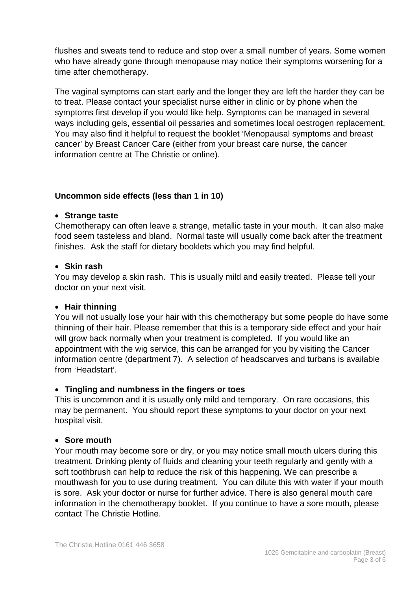flushes and sweats tend to reduce and stop over a small number of years. Some women who have already gone through menopause may notice their symptoms worsening for a time after chemotherapy.

The vaginal symptoms can start early and the longer they are left the harder they can be to treat. Please contact your specialist nurse either in clinic or by phone when the symptoms first develop if you would like help. Symptoms can be managed in several ways including gels, essential oil pessaries and sometimes local oestrogen replacement. You may also find it helpful to request the booklet 'Menopausal symptoms and breast cancer' by Breast Cancer Care (either from your breast care nurse, the cancer information centre at The Christie or online).

#### **Uncommon side effects (less than 1 in 10)**

#### • **Strange taste**

Chemotherapy can often leave a strange, metallic taste in your mouth. It can also make food seem tasteless and bland. Normal taste will usually come back after the treatment finishes. Ask the staff for dietary booklets which you may find helpful.

#### • **Skin rash**

You may develop a skin rash. This is usually mild and easily treated. Please tell your doctor on your next visit.

#### • **Hair thinning**

You will not usually lose your hair with this chemotherapy but some people do have some thinning of their hair. Please remember that this is a temporary side effect and your hair will grow back normally when your treatment is completed. If you would like an appointment with the wig service, this can be arranged for you by visiting the Cancer information centre (department 7). A selection of headscarves and turbans is available from 'Headstart'.

#### • **Tingling and numbness in the fingers or toes**

This is uncommon and it is usually only mild and temporary. On rare occasions, this may be permanent. You should report these symptoms to your doctor on your next hospital visit.

#### • **Sore mouth**

Your mouth may become sore or dry, or you may notice small mouth ulcers during this treatment. Drinking plenty of fluids and cleaning your teeth regularly and gently with a soft toothbrush can help to reduce the risk of this happening. We can prescribe a mouthwash for you to use during treatment. You can dilute this with water if your mouth is sore. Ask your doctor or nurse for further advice. There is also general mouth care information in the chemotherapy booklet. If you continue to have a sore mouth, please contact The Christie Hotline.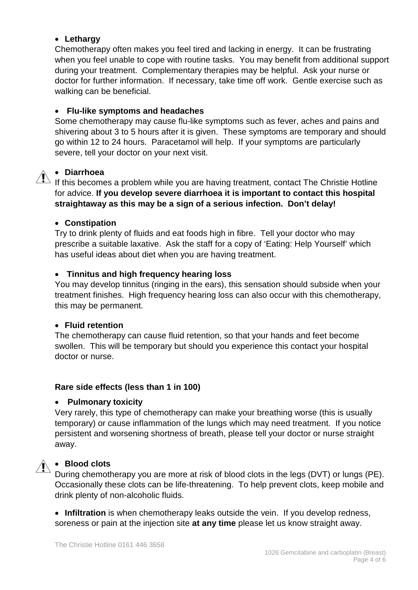#### • **Lethargy**

Chemotherapy often makes you feel tired and lacking in energy. It can be frustrating when you feel unable to cope with routine tasks. You may benefit from additional support during your treatment. Complementary therapies may be helpful. Ask your nurse or doctor for further information. If necessary, take time off work. Gentle exercise such as walking can be beneficial.

#### • **Flu-like symptoms and headaches**

Some chemotherapy may cause flu-like symptoms such as fever, aches and pains and shivering about 3 to 5 hours after it is given. These symptoms are temporary and should go within 12 to 24 hours. Paracetamol will help. If your symptoms are particularly severe, tell your doctor on your next visit.

#### • **Diarrhoea**

If this becomes a problem while you are having treatment, contact The Christie Hotline for advice. **If you develop severe diarrhoea it is important to contact this hospital straightaway as this may be a sign of a serious infection. Don't delay!**

#### • **Constipation**

Try to drink plenty of fluids and eat foods high in fibre. Tell your doctor who may prescribe a suitable laxative. Ask the staff for a copy of 'Eating: Help Yourself' which has useful ideas about diet when you are having treatment.

#### • **Tinnitus and high frequency hearing loss**

You may develop tinnitus (ringing in the ears), this sensation should subside when your treatment finishes. High frequency hearing loss can also occur with this chemotherapy, this may be permanent.

#### • **Fluid retention**

The chemotherapy can cause fluid retention, so that your hands and feet become swollen. This will be temporary but should you experience this contact your hospital doctor or nurse.

#### **Rare side effects (less than 1 in 100)**

#### • **Pulmonary toxicity**

Very rarely, this type of chemotherapy can make your breathing worse (this is usually temporary) or cause inflammation of the lungs which may need treatment. If you notice persistent and worsening shortness of breath, please tell your doctor or nurse straight away.

# • **Blood clots**

During chemotherapy you are more at risk of blood clots in the legs (DVT) or lungs (PE). Occasionally these clots can be life-threatening. To help prevent clots, keep mobile and drink plenty of non-alcoholic fluids.

• **Infiltration** is when chemotherapy leaks outside the vein. If you develop redness, soreness or pain at the injection site **at any time** please let us know straight away.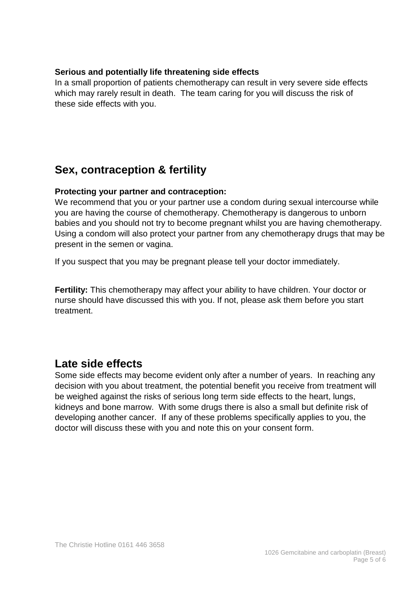#### **Serious and potentially life threatening side effects**

In a small proportion of patients chemotherapy can result in very severe side effects which may rarely result in death. The team caring for you will discuss the risk of these side effects with you.

# **Sex, contraception & fertility**

#### **Protecting your partner and contraception:**

We recommend that you or your partner use a condom during sexual intercourse while you are having the course of chemotherapy. Chemotherapy is dangerous to unborn babies and you should not try to become pregnant whilst you are having chemotherapy. Using a condom will also protect your partner from any chemotherapy drugs that may be present in the semen or vagina.

If you suspect that you may be pregnant please tell your doctor immediately.

**Fertility:** This chemotherapy may affect your ability to have children. Your doctor or nurse should have discussed this with you. If not, please ask them before you start treatment.

## **Late side effects**

Some side effects may become evident only after a number of years. In reaching any decision with you about treatment, the potential benefit you receive from treatment will be weighed against the risks of serious long term side effects to the heart, lungs, kidneys and bone marrow. With some drugs there is also a small but definite risk of developing another cancer. If any of these problems specifically applies to you, the doctor will discuss these with you and note this on your consent form.